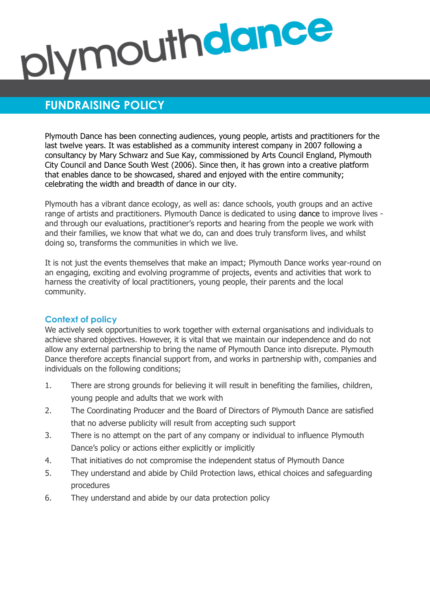# plymouthdance

# **FUNDRAISING POLICY**

Plymouth Dance has been connecting audiences, young people, artists and practitioners for the last twelve years. It was established as a community interest company in 2007 following a consultancy by Mary Schwarz and Sue Kay, commissioned by Arts Council England, Plymouth City Council and Dance South West (2006). Since then, it has grown into a creative platform that enables dance to be showcased, shared and enjoyed with the entire community; celebrating the width and breadth of dance in our city.

Plymouth has a vibrant dance ecology, as well as: dance schools, youth groups and an active range of artists and practitioners. Plymouth Dance is dedicated to using dance to improve lives and through our evaluations, practitioner's reports and hearing from the people we work with and their families, we know that what we do, can and does truly transform lives, and whilst doing so, transforms the communities in which we live.

It is not just the events themselves that make an impact; Plymouth Dance works year-round on an engaging, exciting and evolving programme of projects, events and activities that work to harness the creativity of local practitioners, young people, their parents and the local community.

# **Context of policy**

We actively seek opportunities to work together with external organisations and individuals to achieve shared objectives. However, it is vital that we maintain our independence and do not allow any external partnership to bring the name of Plymouth Dance into disrepute. Plymouth Dance therefore accepts financial support from, and works in partnership with, companies and individuals on the following conditions;

- 1. There are strong grounds for believing it will result in benefiting the families, children, young people and adults that we work with
- 2. The Coordinating Producer and the Board of Directors of Plymouth Dance are satisfied that no adverse publicity will result from accepting such support
- 3. There is no attempt on the part of any company or individual to influence Plymouth Dance's policy or actions either explicitly or implicitly
- 4. That initiatives do not compromise the independent status of Plymouth Dance
- 5. They understand and abide by Child Protection laws, ethical choices and safeguarding procedures
- 6. They understand and abide by our data protection policy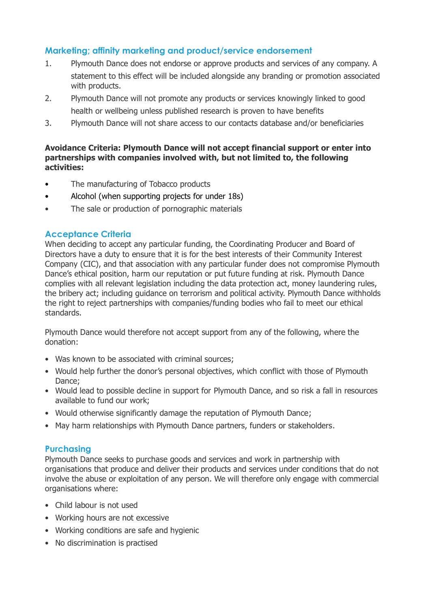# **Marketing; affinity marketing and product/service endorsement**

- 1. Plymouth Dance does not endorse or approve products and services of any company. A statement to this effect will be included alongside any branding or promotion associated with products.
- 2. Plymouth Dance will not promote any products or services knowingly linked to good health or wellbeing unless published research is proven to have benefits
- 3. Plymouth Dance will not share access to our contacts database and/or beneficiaries

#### **Avoidance Criteria: Plymouth Dance will not accept financial support or enter into partnerships with companies involved with, but not limited to, the following activities:**

- The manufacturing of Tobacco products
- Alcohol (when supporting projects for under 18s)
- The sale or production of pornographic materials

# **Acceptance Criteria**

When deciding to accept any particular funding, the Coordinating Producer and Board of Directors have a duty to ensure that it is for the best interests of their Community Interest Company (CIC), and that association with any particular funder does not compromise Plymouth Dance's ethical position, harm our reputation or put future funding at risk. Plymouth Dance complies with all relevant legislation including the data protection act, money laundering rules, the bribery act; including guidance on terrorism and political activity. Plymouth Dance withholds the right to reject partnerships with companies/funding bodies who fail to meet our ethical standards.

Plymouth Dance would therefore not accept support from any of the following, where the donation:

- Was known to be associated with criminal sources;
- Would help further the donor's personal objectives, which conflict with those of Plymouth Dance;
- Would lead to possible decline in support for Plymouth Dance, and so risk a fall in resources available to fund our work;
- Would otherwise significantly damage the reputation of Plymouth Dance;
- May harm relationships with Plymouth Dance partners, funders or stakeholders.

# **Purchasing**

Plymouth Dance seeks to purchase goods and services and work in partnership with organisations that produce and deliver their products and services under conditions that do not involve the abuse or exploitation of any person. We will therefore only engage with commercial organisations where:

- Child labour is not used
- Working hours are not excessive
- Working conditions are safe and hygienic
- No discrimination is practised